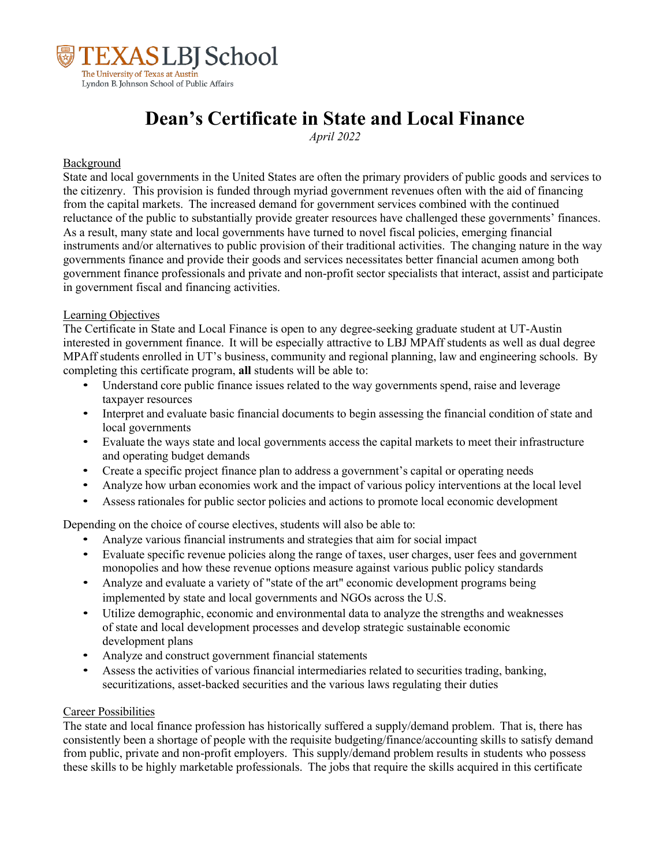

# **Dean's Certificate in State and Local Finance**

*April 2022*

#### Background

State and local governments in the United States are often the primary providers of public goods and services to the citizenry. This provision is funded through myriad government revenues often with the aid of financing from the capital markets. The increased demand for government services combined with the continued reluctance of the public to substantially provide greater resources have challenged these governments' finances. As a result, many state and local governments have turned to novel fiscal policies, emerging financial instruments and/or alternatives to public provision of their traditional activities. The changing nature in the way governments finance and provide their goods and services necessitates better financial acumen among both government finance professionals and private and non-profit sector specialists that interact, assist and participate in government fiscal and financing activities.

### Learning Objectives

The Certificate in State and Local Finance is open to any degree-seeking graduate student at UT-Austin interested in government finance. It will be especially attractive to LBJ MPAff students as well as dual degree MPAff students enrolled in UT's business, community and regional planning, law and engineering schools. By completing this certificate program, **all** students will be able to:

- Understand core public finance issues related to the way governments spend, raise and leverage taxpayer resources
- Interpret and evaluate basic financial documents to begin assessing the financial condition of state and local governments
- Evaluate the ways state and local governments access the capital markets to meet their infrastructure and operating budget demands
- Create a specific project finance plan to address a government's capital or operating needs
- Analyze how urban economies work and the impact of various policy interventions at the local level
- Assess rationales for public sector policies and actions to promote local economic development

Depending on the choice of course electives, students will also be able to:

- Analyze various financial instruments and strategies that aim for social impact
- Evaluate specific revenue policies along the range of taxes, user charges, user fees and government monopolies and how these revenue options measure against various public policy standards
- Analyze and evaluate a variety of "state of the art" economic development programs being implemented by state and local governments and NGOs across the U.S.
- Utilize demographic, economic and environmental data to analyze the strengths and weaknesses of state and local development processes and develop strategic sustainable economic development plans
- Analyze and construct government financial statements
- Assess the activities of various financial intermediaries related to securities trading, banking, securitizations, asset-backed securities and the various laws regulating their duties

#### Career Possibilities

The state and local finance profession has historically suffered a supply/demand problem. That is, there has consistently been a shortage of people with the requisite budgeting/finance/accounting skills to satisfy demand from public, private and non-profit employers. This supply/demand problem results in students who possess these skills to be highly marketable professionals. The jobs that require the skills acquired in this certificate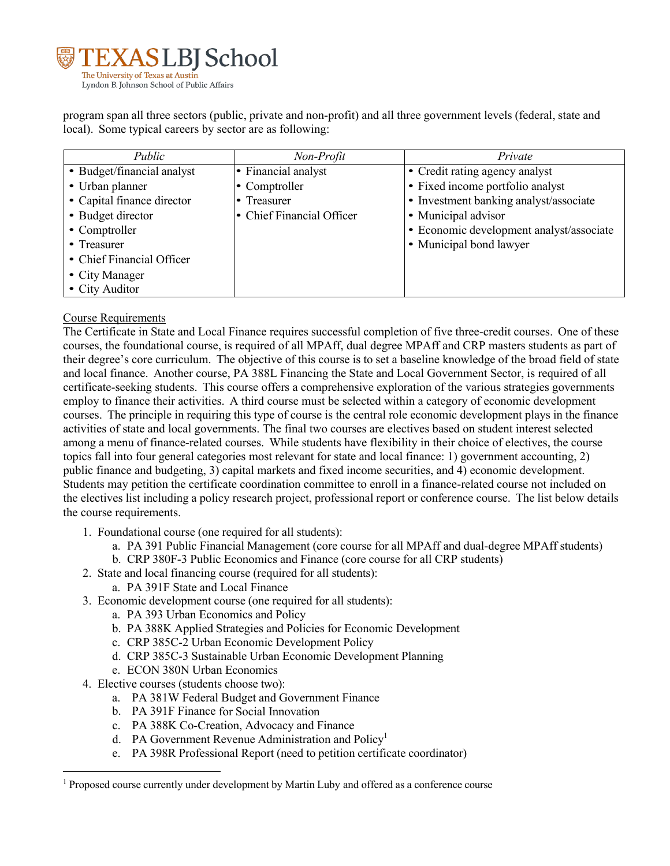

program span all three sectors (public, private and non-profit) and all three government levels (federal, state and local). Some typical careers by sector are as following:

| Public                     | Non-Profit                | Private                                  |
|----------------------------|---------------------------|------------------------------------------|
| • Budget/financial analyst | • Financial analyst       | • Credit rating agency analyst           |
| • Urban planner            | • Comptroller             | • Fixed income portfolio analyst         |
| • Capital finance director | • Treasurer               | • Investment banking analyst/associate   |
| • Budget director          | • Chief Financial Officer | • Municipal advisor                      |
| • Comptroller              |                           | · Economic development analyst/associate |
| • Treasurer                |                           | • Municipal bond lawyer                  |
| • Chief Financial Officer  |                           |                                          |
| • City Manager             |                           |                                          |
| • City Auditor             |                           |                                          |

## Course Requirements

The Certificate in State and Local Finance requires successful completion of five three-credit courses. One of these courses, the foundational course, is required of all MPAff, dual degree MPAff and CRP masters students as part of their degree's core curriculum. The objective of this course is to set a baseline knowledge of the broad field of state and local finance. Another course, PA 388L Financing the State and Local Government Sector, is required of all certificate-seeking students. This course offers a comprehensive exploration of the various strategies governments employ to finance their activities. A third course must be selected within a category of economic development courses. The principle in requiring this type of course is the central role economic development plays in the finance activities of state and local governments. The final two courses are electives based on student interest selected among a menu of finance-related courses. While students have flexibility in their choice of electives, the course topics fall into four general categories most relevant for state and local finance: 1) government accounting, 2) public finance and budgeting, 3) capital markets and fixed income securities, and 4) economic development. Students may petition the certificate coordination committee to enroll in a finance-related course not included on the electives list including a policy research project, professional report or conference course. The list below details the course requirements.

- 1. Foundational course (one required for all students):
	- a. PA 391 Public Financial Management (core course for all MPAff and dual-degree MPAff students)
	- b. CRP 380F-3 Public Economics and Finance (core course for all CRP students)
- 2. State and local financing course (required for all students):
	- a. PA 391F State and Local Finance
- 3. Economic development course (one required for all students):
	- a. PA 393 Urban Economics and Policy
	- b. PA 388K Applied Strategies and Policies for Economic Development
	- c. CRP 385C-2 Urban Economic Development Policy
	- d. CRP 385C-3 Sustainable Urban Economic Development Planning
	- e. ECON 380N Urban Economics
- 4. Elective courses (students choose two):
	- a. PA 381W Federal Budget and Government Finance
	- b. PA 391F Finance for Social Innovation
	- c. PA 388K Co-Creation, Advocacy and Finance
	- d. PA Government Revenue Administration and Policy<sup>1</sup>
	- e. PA 398R Professional Report (need to petition certificate coordinator)

 $<sup>1</sup>$  Proposed course currently under development by Martin Luby and offered as a conference course</sup>